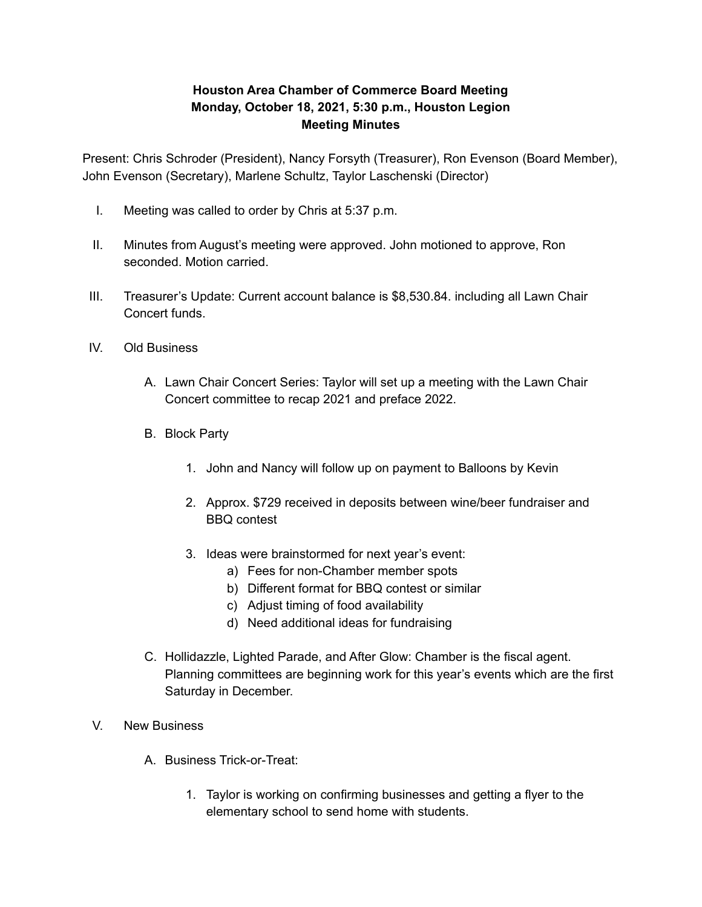## **Houston Area Chamber of Commerce Board Meeting Monday, October 18, 2021, 5:30 p.m., Houston Legion Meeting Minutes**

Present: Chris Schroder (President), Nancy Forsyth (Treasurer), Ron Evenson (Board Member), John Evenson (Secretary), Marlene Schultz, Taylor Laschenski (Director)

- I. Meeting was called to order by Chris at 5:37 p.m.
- II. Minutes from August's meeting were approved. John motioned to approve, Ron seconded. Motion carried.
- III. Treasurer's Update: Current account balance is \$8,530.84. including all Lawn Chair Concert funds.
- IV. Old Business
	- A. Lawn Chair Concert Series: Taylor will set up a meeting with the Lawn Chair Concert committee to recap 2021 and preface 2022.
	- B. Block Party
		- 1. John and Nancy will follow up on payment to Balloons by Kevin
		- 2. Approx. \$729 received in deposits between wine/beer fundraiser and BBQ contest
		- 3. Ideas were brainstormed for next year's event:
			- a) Fees for non-Chamber member spots
			- b) Different format for BBQ contest or similar
			- c) Adjust timing of food availability
			- d) Need additional ideas for fundraising
	- C. Hollidazzle, Lighted Parade, and After Glow: Chamber is the fiscal agent. Planning committees are beginning work for this year's events which are the first Saturday in December.
- V. New Business
	- A. Business Trick-or-Treat:
		- 1. Taylor is working on confirming businesses and getting a flyer to the elementary school to send home with students.